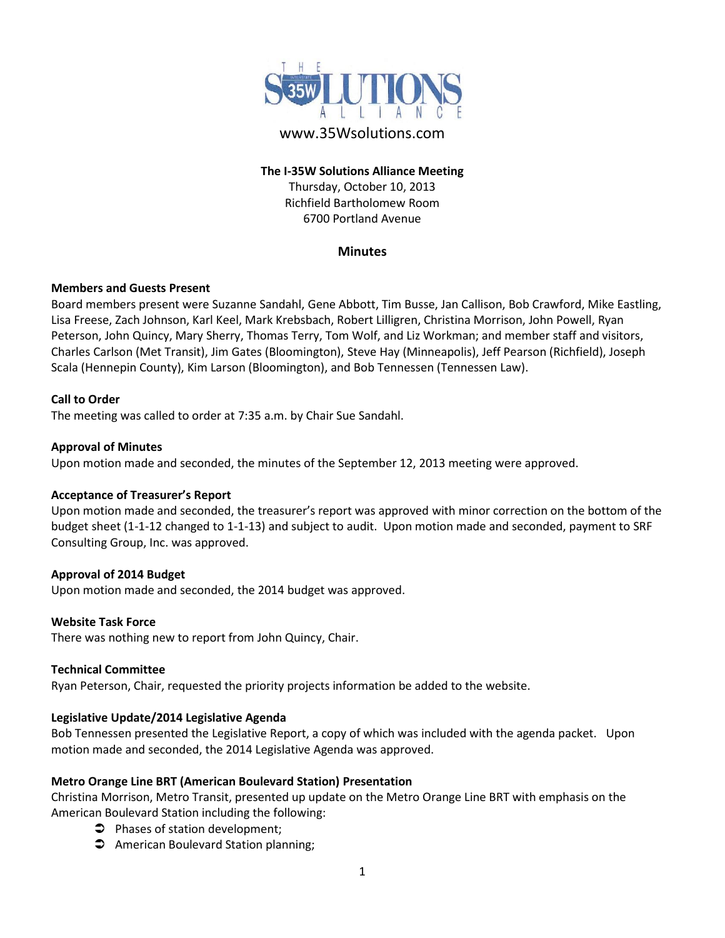

# www.35Wsolutions.com

# **The I-35W Solutions Alliance Meeting**

Thursday, October 10, 2013 Richfield Bartholomew Room 6700 Portland Avenue

# **Minutes**

## **Members and Guests Present**

Board members present were Suzanne Sandahl, Gene Abbott, Tim Busse, Jan Callison, Bob Crawford, Mike Eastling, Lisa Freese, Zach Johnson, Karl Keel, Mark Krebsbach, Robert Lilligren, Christina Morrison, John Powell, Ryan Peterson, John Quincy, Mary Sherry, Thomas Terry, Tom Wolf, and Liz Workman; and member staff and visitors, Charles Carlson (Met Transit), Jim Gates (Bloomington), Steve Hay (Minneapolis), Jeff Pearson (Richfield), Joseph Scala (Hennepin County), Kim Larson (Bloomington), and Bob Tennessen (Tennessen Law).

## **Call to Order**

The meeting was called to order at 7:35 a.m. by Chair Sue Sandahl.

#### **Approval of Minutes**

Upon motion made and seconded, the minutes of the September 12, 2013 meeting were approved.

## **Acceptance of Treasurer's Report**

Upon motion made and seconded, the treasurer's report was approved with minor correction on the bottom of the budget sheet (1-1-12 changed to 1-1-13) and subject to audit. Upon motion made and seconded, payment to SRF Consulting Group, Inc. was approved.

## **Approval of 2014 Budget**

Upon motion made and seconded, the 2014 budget was approved.

#### **Website Task Force**

There was nothing new to report from John Quincy, Chair.

#### **Technical Committee**

Ryan Peterson, Chair, requested the priority projects information be added to the website.

## **Legislative Update/2014 Legislative Agenda**

Bob Tennessen presented the Legislative Report, a copy of which was included with the agenda packet. Upon motion made and seconded, the 2014 Legislative Agenda was approved.

## **Metro Orange Line BRT (American Boulevard Station) Presentation**

Christina Morrison, Metro Transit, presented up update on the Metro Orange Line BRT with emphasis on the American Boulevard Station including the following:

- **Phases of station development;**
- **C** American Boulevard Station planning;